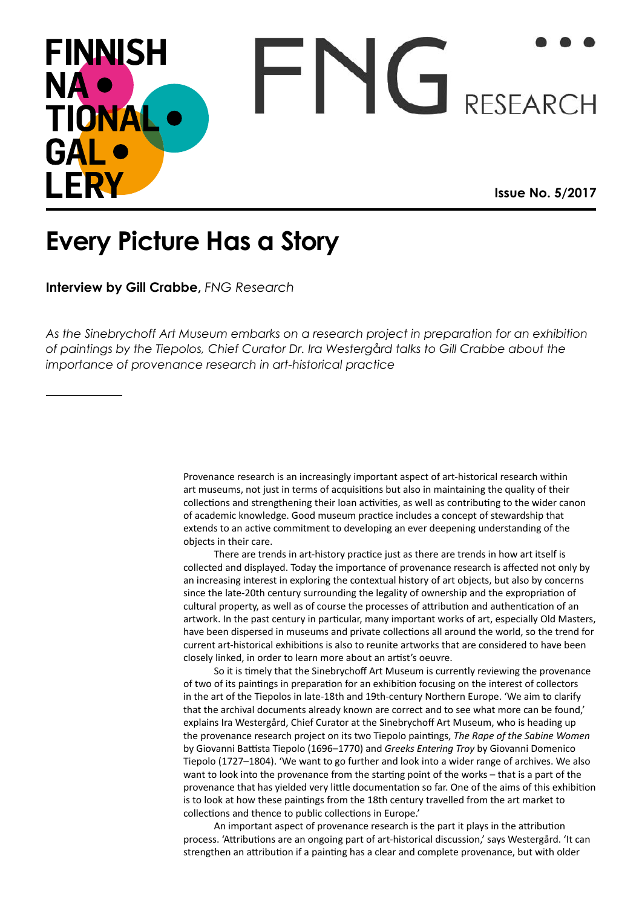## FNG RESEARCH **FINNISH** NA · TIONAL GAL LERY **Issue No. 5/2017**

## **Every Picture Has a Story**

**Interview by Gill Crabbe,** *FNG Research*

*As the Sinebrychoff Art Museum embarks on a research project in preparation for an exhibition of paintings by the Tiepolos, Chief Curator Dr. Ira Westerg*å*rd talks to Gill Crabbe about the importance of provenance research in art-historical practice*

> Provenance research is an increasingly important aspect of art-historical research within art museums, not just in terms of acquisitions but also in maintaining the quality of their collections and strengthening their loan activities, as well as contributing to the wider canon of academic knowledge. Good museum practice includes a concept of stewardship that extends to an active commitment to developing an ever deepening understanding of the objects in their care.

There are trends in art-history practice just as there are trends in how art itself is collected and displayed. Today the importance of provenance research is affected not only by an increasing interest in exploring the contextual history of art objects, but also by concerns since the late-20th century surrounding the legality of ownership and the expropriation of cultural property, as well as of course the processes of attribution and authentication of an artwork. In the past century in particular, many important works of art, especially Old Masters, have been dispersed in museums and private collections all around the world, so the trend for current art-historical exhibitions is also to reunite artworks that are considered to have been closely linked, in order to learn more about an artist's oeuvre.

So it is timely that the Sinebrychoff Art Museum is currently reviewing the provenance of two of its paintings in preparation for an exhibition focusing on the interest of collectors in the art of the Tiepolos in late-18th and 19th-century Northern Europe. 'We aim to clarify that the archival documents already known are correct and to see what more can be found,' explains Ira Westergård, Chief Curator at the Sinebrychoff Art Museum, who is heading up the provenance research project on its two Tiepolo paintings, *The Rape of the Sabine Women* by Giovanni Battista Tiepolo (1696–1770) and *Greeks Entering Troy* by Giovanni Domenico Tiepolo (1727–1804). 'We want to go further and look into a wider range of archives. We also want to look into the provenance from the starting point of the works – that is a part of the provenance that has yielded very little documentation so far. One of the aims of this exhibition is to look at how these paintings from the 18th century travelled from the art market to collections and thence to public collections in Europe.'

An important aspect of provenance research is the part it plays in the attribution process. 'Attributions are an ongoing part of art-historical discussion,' says Westergård. 'It can strengthen an attribution if a painting has a clear and complete provenance, but with older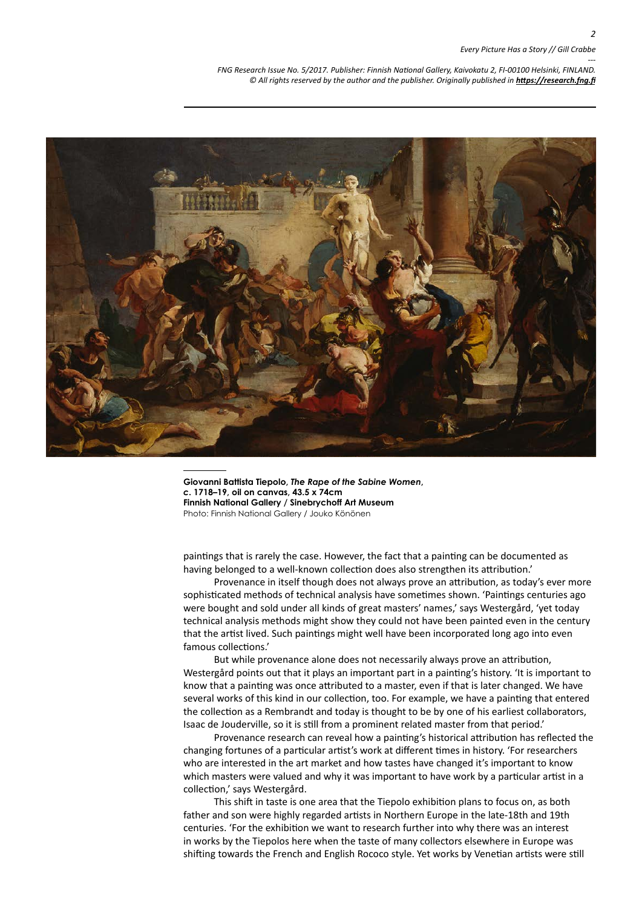## *Every Picture Has a Story // Gill Crabbe*

*--- FNG Research Issue No. 5/2017. Publisher: Finnish National Gallery, Kaivokatu 2, FI-00100 Helsinki, FINLAND.* © All rights reserved by the author and the publisher. Originally published in **<https://research.fng.fi>** 



**Giovanni Battista Tiepolo,** *The Rape of the Sabine Women***,**  *c***. 1718–19, oil on canvas, 43.5 x 74cm Finnish National Gallery / Sinebrychoff Art Museum** Photo: Finnish National Gallery / Jouko Könönen

paintings that is rarely the case. However, the fact that a painting can be documented as having belonged to a well-known collection does also strengthen its attribution.'

Provenance in itself though does not always prove an attribution, as today's ever more sophisticated methods of technical analysis have sometimes shown. 'Paintings centuries ago were bought and sold under all kinds of great masters' names,' says Westergård, 'yet today technical analysis methods might show they could not have been painted even in the century that the artist lived. Such paintings might well have been incorporated long ago into even famous collections.'

But while provenance alone does not necessarily always prove an attribution, Westergård points out that it plays an important part in a painting's history. 'It is important to know that a painting was once attributed to a master, even if that is later changed. We have several works of this kind in our collection, too. For example, we have a painting that entered the collection as a Rembrandt and today is thought to be by one of his earliest collaborators, Isaac de Jouderville, so it is still from a prominent related master from that period.'

Provenance research can reveal how a painting's historical attribution has reflected the changing fortunes of a particular artist's work at different times in history. 'For researchers who are interested in the art market and how tastes have changed it's important to know which masters were valued and why it was important to have work by a particular artist in a collection,' says Westergård.

This shift in taste is one area that the Tiepolo exhibition plans to focus on, as both father and son were highly regarded artists in Northern Europe in the late-18th and 19th centuries. 'For the exhibition we want to research further into why there was an interest in works by the Tiepolos here when the taste of many collectors elsewhere in Europe was shifting towards the French and English Rococo style. Yet works by Venetian artists were still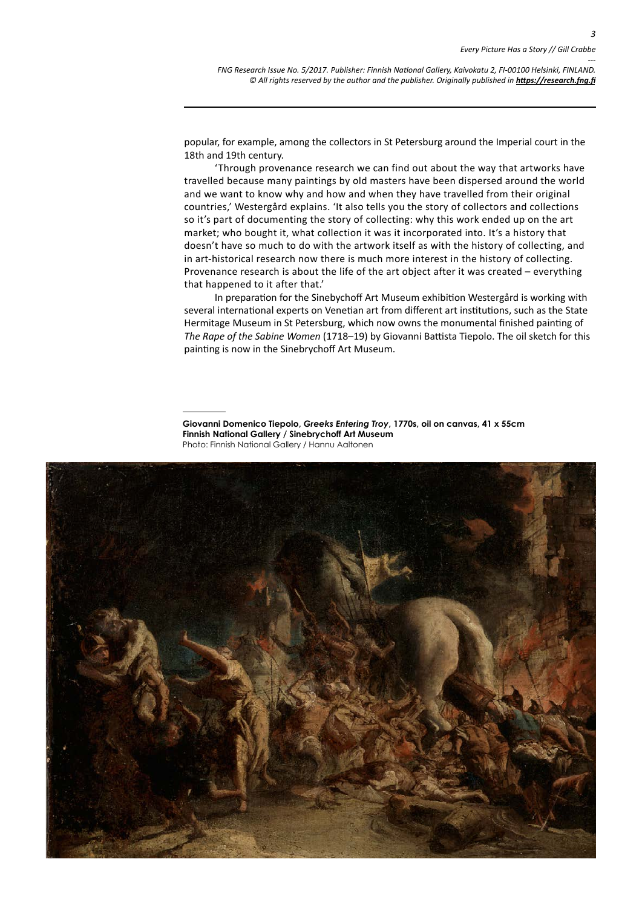*--- FNG Research Issue No. 5/2017. Publisher: Finnish National Gallery, Kaivokatu 2, FI-00100 Helsinki, FINLAND.* © All rights reserved by the author and the publisher. Originally published in **<https://research.fng.fi>** 

popular, for example, among the collectors in St Petersburg around the Imperial court in the 18th and 19th century.

'Through provenance research we can find out about the way that artworks have travelled because many paintings by old masters have been dispersed around the world and we want to know why and how and when they have travelled from their original countries,' Westergård explains. 'It also tells you the story of collectors and collections so it's part of documenting the story of collecting: why this work ended up on the art market; who bought it, what collection it was it incorporated into. It's a history that doesn't have so much to do with the artwork itself as with the history of collecting, and in art-historical research now there is much more interest in the history of collecting. Provenance research is about the life of the art object after it was created – everything that happened to it after that.'

In preparation for the Sinebychoff Art Museum exhibition Westergård is working with several international experts on Venetian art from different art institutions, such as the State Hermitage Museum in St Petersburg, which now owns the monumental finished painting of *The Rape of the Sabine Women* (1718–19) by Giovanni Battista Tiepolo. The oil sketch for this painting is now in the Sinebrychoff Art Museum.

**Giovanni Domenico Tiepolo,** *Greeks Entering Troy***, 1770s, oil on canvas, 41 x 55cm Finnish National Gallery / Sinebrychoff Art Museum** Photo: Finnish National Gallery / Hannu Aaltonen